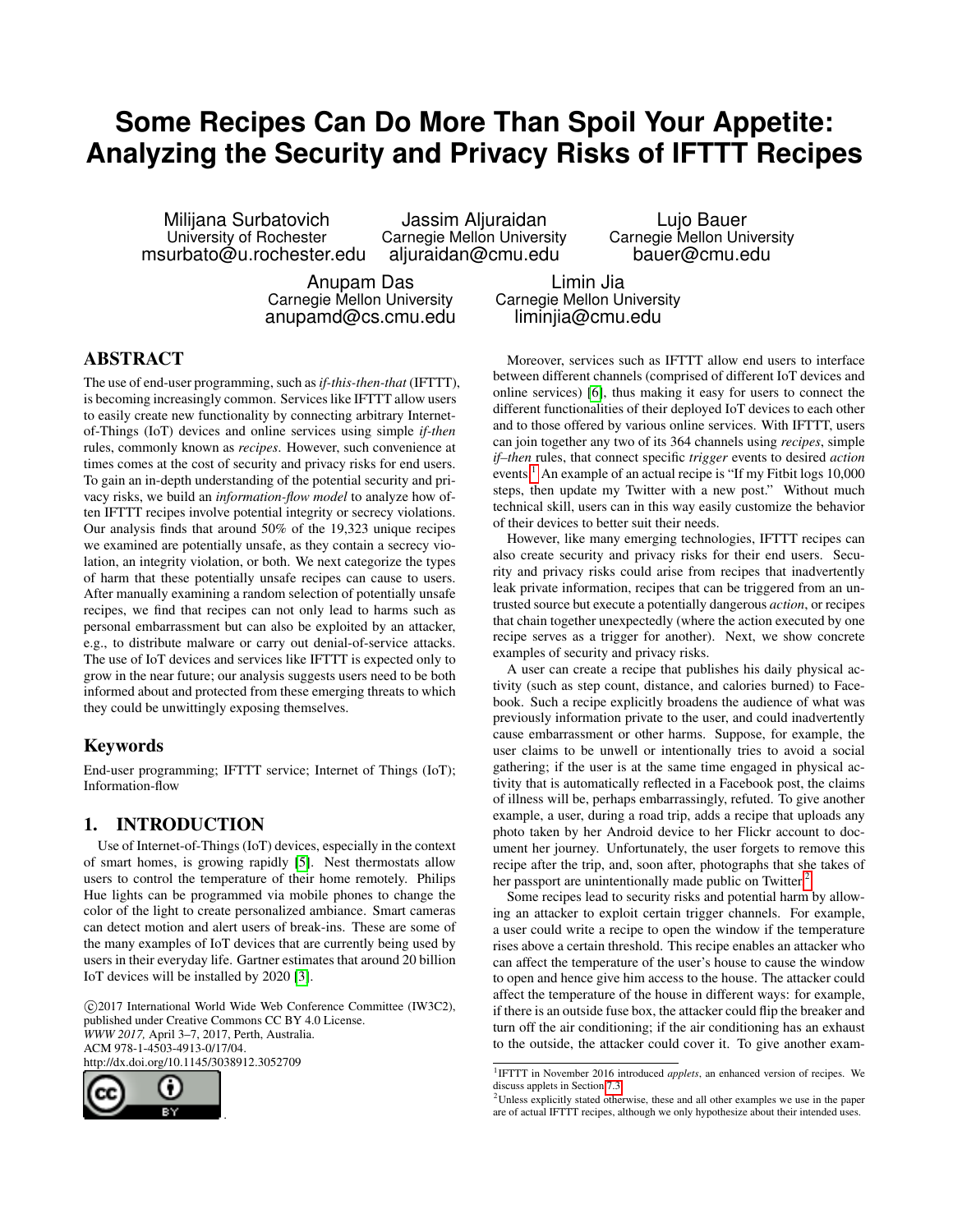# **Some Recipes Can Do More Than Spoil Your Appetite: Analyzing the Security and Privacy Risks of IFTTT Recipes**

Milijana Surbatovich University of Rochester msurbato@u.rochester.edu

Jassim Aljuraidan Carnegie Mellon University aljuraidan@cmu.edu

Lujo Bauer Carnegie Mellon University bauer@cmu.edu

Anupam Das Carnegie Mellon University anupamd@cs.cmu.edu

Limin Jia Carnegie Mellon University liminjia@cmu.edu

# ABSTRACT

The use of end-user programming, such as*if-this-then-that* (IFTTT), is becoming increasingly common. Services like IFTTT allow users to easily create new functionality by connecting arbitrary Internetof-Things (IoT) devices and online services using simple *if-then* rules, commonly known as *recipes*. However, such convenience at times comes at the cost of security and privacy risks for end users. To gain an in-depth understanding of the potential security and privacy risks, we build an *information-flow model* to analyze how often IFTTT recipes involve potential integrity or secrecy violations. Our analysis finds that around 50% of the 19,323 unique recipes we examined are potentially unsafe, as they contain a secrecy violation, an integrity violation, or both. We next categorize the types of harm that these potentially unsafe recipes can cause to users. After manually examining a random selection of potentially unsafe recipes, we find that recipes can not only lead to harms such as personal embarrassment but can also be exploited by an attacker, e.g., to distribute malware or carry out denial-of-service attacks. The use of IoT devices and services like IFTTT is expected only to grow in the near future; our analysis suggests users need to be both informed about and protected from these emerging threats to which they could be unwittingly exposing themselves.

### Keywords

End-user programming; IFTTT service; Internet of Things (IoT); Information-flow

### 1. INTRODUCTION

Use of Internet-of-Things (IoT) devices, especially in the context of smart homes, is growing rapidly [\[5\]](#page-9-0). Nest thermostats allow users to control the temperature of their home remotely. Philips Hue lights can be programmed via mobile phones to change the color of the light to create personalized ambiance. Smart cameras can detect motion and alert users of break-ins. These are some of the many examples of IoT devices that are currently being used by users in their everyday life. Gartner estimates that around 20 billion IoT devices will be installed by 2020 [\[3\]](#page-9-1).

 c 2017 International World Wide Web Conference Committee (IW3C2), published under Creative Commons CC BY 4.0 License. *WWW 2017,* April 3–7, 2017, Perth, Australia. ACM 978-1-4503-4913-0/17/04. http://dx.doi.org/10.1145/3038912.3052709



Moreover, services such as IFTTT allow end users to interface between different channels (comprised of different IoT devices and online services) [\[6\]](#page-9-2), thus making it easy for users to connect the different functionalities of their deployed IoT devices to each other and to those offered by various online services. With IFTTT, users can join together any two of its 364 channels using *recipes*, simple *if–then* rules, that connect specific *trigger* events to desired *action* events.<sup>[1](#page-0-0)</sup> An example of an actual recipe is "If my Fitbit logs 10,000" steps, then update my Twitter with a new post." Without much technical skill, users can in this way easily customize the behavior of their devices to better suit their needs.

However, like many emerging technologies, IFTTT recipes can also create security and privacy risks for their end users. Security and privacy risks could arise from recipes that inadvertently leak private information, recipes that can be triggered from an untrusted source but execute a potentially dangerous *action*, or recipes that chain together unexpectedly (where the action executed by one recipe serves as a trigger for another). Next, we show concrete examples of security and privacy risks.

A user can create a recipe that publishes his daily physical activity (such as step count, distance, and calories burned) to Facebook. Such a recipe explicitly broadens the audience of what was previously information private to the user, and could inadvertently cause embarrassment or other harms. Suppose, for example, the user claims to be unwell or intentionally tries to avoid a social gathering; if the user is at the same time engaged in physical activity that is automatically reflected in a Facebook post, the claims of illness will be, perhaps embarrassingly, refuted. To give another example, a user, during a road trip, adds a recipe that uploads any photo taken by her Android device to her Flickr account to document her journey. Unfortunately, the user forgets to remove this recipe after the trip, and, soon after, photographs that she takes of her passport are unintentionally made public on Twitter.<sup>[2](#page-0-1)</sup>

Some recipes lead to security risks and potential harm by allowing an attacker to exploit certain trigger channels. For example, a user could write a recipe to open the window if the temperature rises above a certain threshold. This recipe enables an attacker who can affect the temperature of the user's house to cause the window to open and hence give him access to the house. The attacker could affect the temperature of the house in different ways: for example, if there is an outside fuse box, the attacker could flip the breaker and turn off the air conditioning; if the air conditioning has an exhaust to the outside, the attacker could cover it. To give another exam-

<span id="page-0-0"></span><sup>&</sup>lt;sup>1</sup>IFTTT in November 2016 introduced *applets*, an enhanced version of recipes. We discuss applets in Section [7.3.](#page-8-0)

<span id="page-0-1"></span><sup>&</sup>lt;sup>2</sup>Unless explicitly stated otherwise, these and all other examples we use in the paper are of actual IFTTT recipes, although we only hypothesize about their intended uses.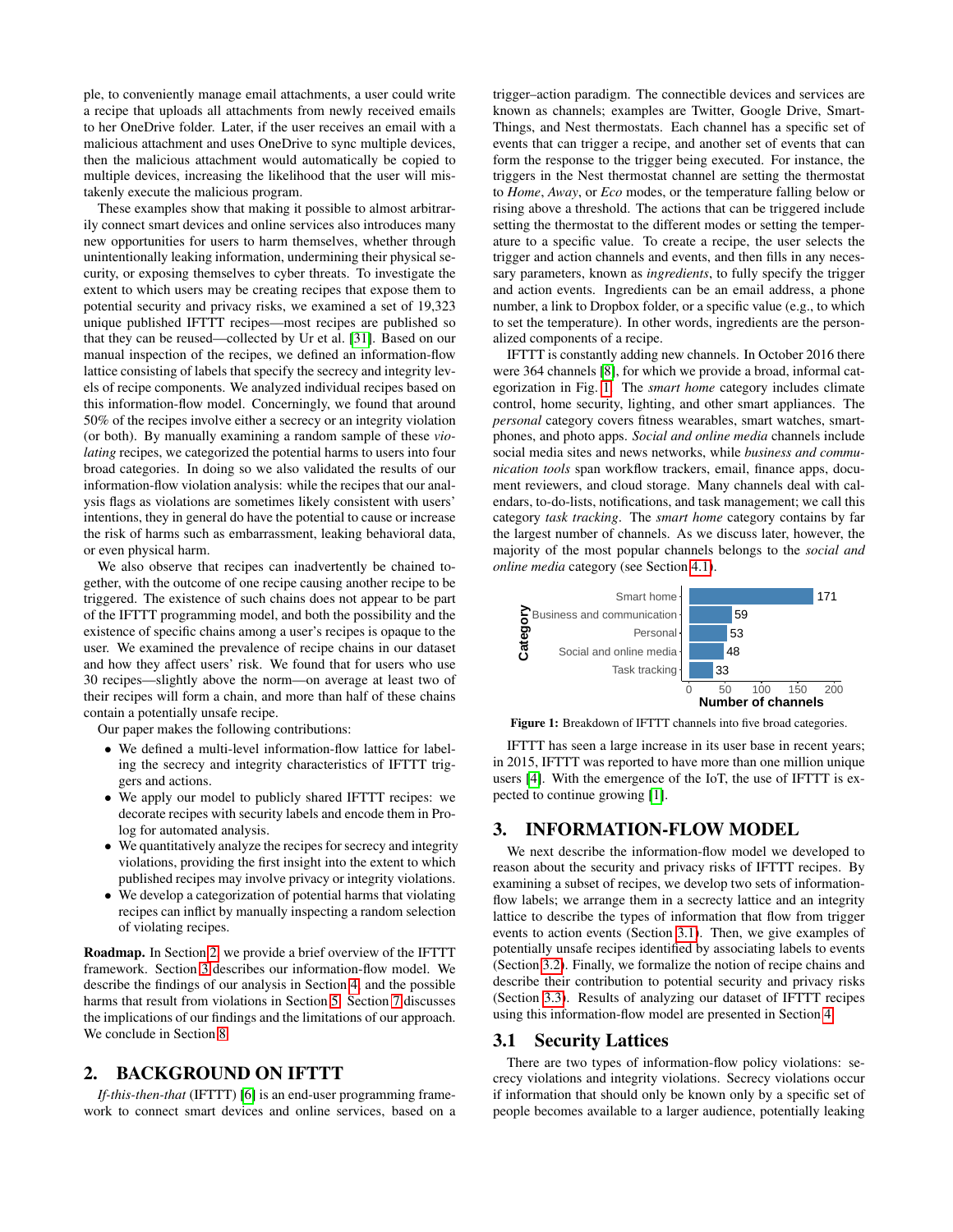ple, to conveniently manage email attachments, a user could write a recipe that uploads all attachments from newly received emails to her OneDrive folder. Later, if the user receives an email with a malicious attachment and uses OneDrive to sync multiple devices, then the malicious attachment would automatically be copied to multiple devices, increasing the likelihood that the user will mistakenly execute the malicious program.

These examples show that making it possible to almost arbitrarily connect smart devices and online services also introduces many new opportunities for users to harm themselves, whether through unintentionally leaking information, undermining their physical security, or exposing themselves to cyber threats. To investigate the extent to which users may be creating recipes that expose them to potential security and privacy risks, we examined a set of 19,323 unique published IFTTT recipes—most recipes are published so that they can be reused—collected by Ur et al. [\[31\]](#page-9-3). Based on our manual inspection of the recipes, we defined an information-flow lattice consisting of labels that specify the secrecy and integrity levels of recipe components. We analyzed individual recipes based on this information-flow model. Concerningly, we found that around 50% of the recipes involve either a secrecy or an integrity violation (or both). By manually examining a random sample of these *violating* recipes, we categorized the potential harms to users into four broad categories. In doing so we also validated the results of our information-flow violation analysis: while the recipes that our analysis flags as violations are sometimes likely consistent with users' intentions, they in general do have the potential to cause or increase the risk of harms such as embarrassment, leaking behavioral data, or even physical harm.

We also observe that recipes can inadvertently be chained together, with the outcome of one recipe causing another recipe to be triggered. The existence of such chains does not appear to be part of the IFTTT programming model, and both the possibility and the existence of specific chains among a user's recipes is opaque to the user. We examined the prevalence of recipe chains in our dataset and how they affect users' risk. We found that for users who use 30 recipes—slightly above the norm—on average at least two of their recipes will form a chain, and more than half of these chains contain a potentially unsafe recipe.

Our paper makes the following contributions:

- We defined a multi-level information-flow lattice for labeling the secrecy and integrity characteristics of IFTTT triggers and actions.
- We apply our model to publicly shared IFTTT recipes: we decorate recipes with security labels and encode them in Prolog for automated analysis.
- We quantitatively analyze the recipes for secrecy and integrity violations, providing the first insight into the extent to which published recipes may involve privacy or integrity violations.
- We develop a categorization of potential harms that violating recipes can inflict by manually inspecting a random selection of violating recipes.

Roadmap. In Section [2,](#page-1-0) we provide a brief overview of the IFTTT framework. Section [3](#page-1-1) describes our information-flow model. We describe the findings of our analysis in Section [4,](#page-3-0) and the possible harms that result from violations in Section [5.](#page-6-0) Section [7](#page-7-0) discusses the implications of our findings and the limitations of our approach. We conclude in Section [8.](#page-8-1)

### <span id="page-1-0"></span>2. BACKGROUND ON IFTTT

*If-this-then-that* (IFTTT) [\[6\]](#page-9-2) is an end-user programming framework to connect smart devices and online services, based on a trigger–action paradigm. The connectible devices and services are known as channels; examples are Twitter, Google Drive, Smart-Things, and Nest thermostats. Each channel has a specific set of events that can trigger a recipe, and another set of events that can form the response to the trigger being executed. For instance, the triggers in the Nest thermostat channel are setting the thermostat to *Home*, *Away*, or *Eco* modes, or the temperature falling below or rising above a threshold. The actions that can be triggered include setting the thermostat to the different modes or setting the temperature to a specific value. To create a recipe, the user selects the trigger and action channels and events, and then fills in any necessary parameters, known as *ingredients*, to fully specify the trigger and action events. Ingredients can be an email address, a phone number, a link to Dropbox folder, or a specific value (e.g., to which to set the temperature). In other words, ingredients are the personalized components of a recipe.

IFTTT is constantly adding new channels. In October 2016 there were 364 channels [\[8\]](#page-9-4), for which we provide a broad, informal categorization in Fig. [1.](#page-1-2) The *smart home* category includes climate control, home security, lighting, and other smart appliances. The *personal* category covers fitness wearables, smart watches, smartphones, and photo apps. *Social and online media* channels include social media sites and news networks, while *business and communication tools* span workflow trackers, email, finance apps, document reviewers, and cloud storage. Many channels deal with calendars, to-do-lists, notifications, and task management; we call this category *task tracking*. The *smart home* category contains by far the largest number of channels. As we discuss later, however, the majority of the most popular channels belongs to the *social and online media* category (see Section [4.1\)](#page-3-1).

<span id="page-1-2"></span>

Figure 1: Breakdown of IFTTT channels into five broad categories.

IFTTT has seen a large increase in its user base in recent years; in 2015, IFTTT was reported to have more than one million unique users [\[4\]](#page-9-5). With the emergence of the IoT, the use of IFTTT is expected to continue growing [\[1\]](#page-9-6).

#### <span id="page-1-1"></span>3. INFORMATION-FLOW MODEL

We next describe the information-flow model we developed to reason about the security and privacy risks of IFTTT recipes. By examining a subset of recipes, we develop two sets of informationflow labels; we arrange them in a secrecty lattice and an integrity lattice to describe the types of information that flow from trigger events to action events (Section [3.1\)](#page-1-3). Then, we give examples of potentially unsafe recipes identified by associating labels to events (Section [3.2\)](#page-2-0). Finally, we formalize the notion of recipe chains and describe their contribution to potential security and privacy risks (Section [3.3\)](#page-3-2). Results of analyzing our dataset of IFTTT recipes using this information-flow model are presented in Section [4.](#page-3-0)

### <span id="page-1-3"></span>3.1 Security Lattices

There are two types of information-flow policy violations: secrecy violations and integrity violations. Secrecy violations occur if information that should only be known only by a specific set of people becomes available to a larger audience, potentially leaking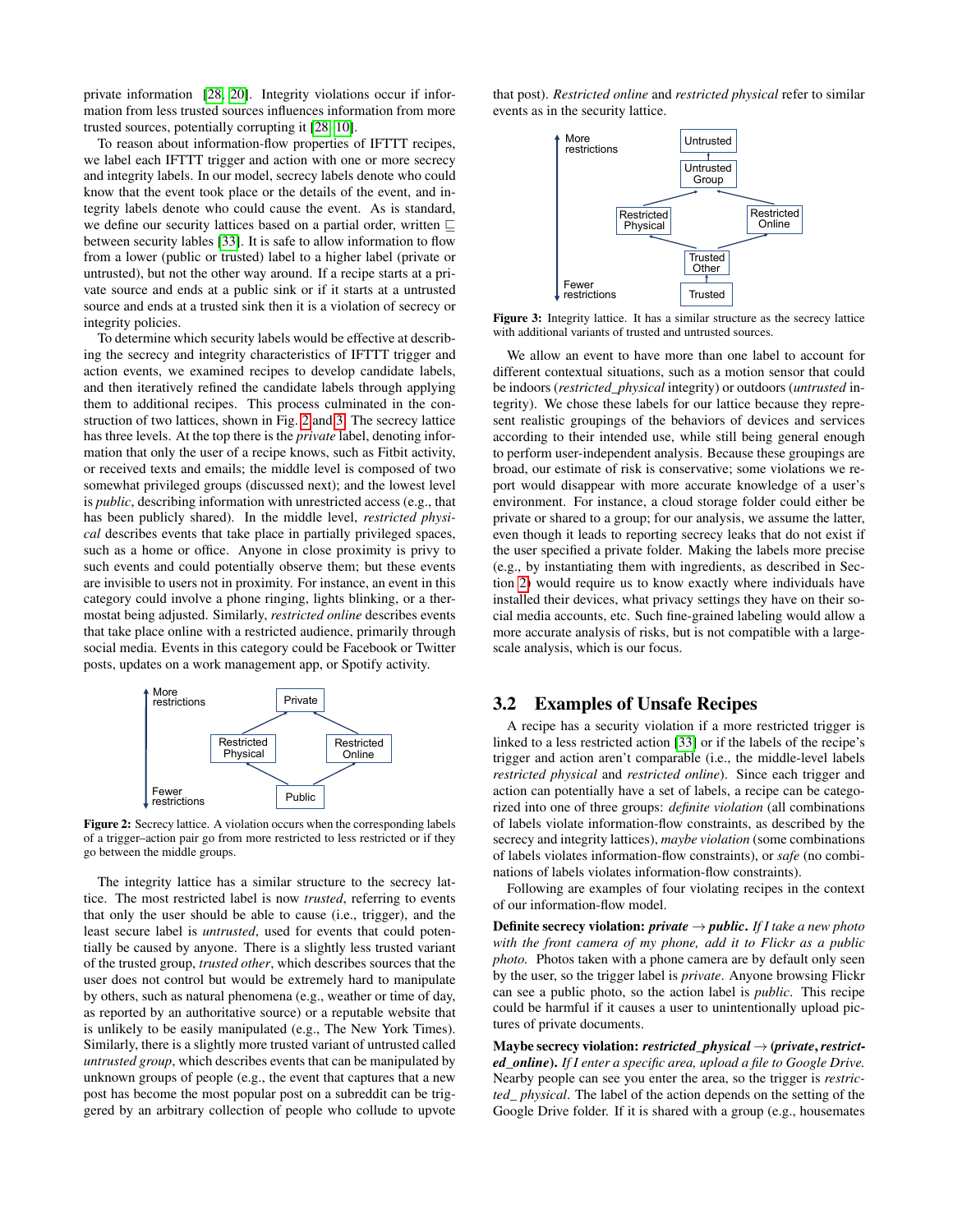private information [\[28,](#page-9-7) [20\]](#page-9-8). Integrity violations occur if information from less trusted sources influences information from more trusted sources, potentially corrupting it [\[28,](#page-9-7) [10\]](#page-9-9).

To reason about information-flow properties of IFTTT recipes, we label each IFTTT trigger and action with one or more secrecy and integrity labels. In our model, secrecy labels denote who could know that the event took place or the details of the event, and integrity labels denote who could cause the event. As is standard, we define our security lattices based on a partial order, written  $\Box$ between security lables [\[33\]](#page-9-10). It is safe to allow information to flow from a lower (public or trusted) label to a higher label (private or untrusted), but not the other way around. If a recipe starts at a private source and ends at a public sink or if it starts at a untrusted source and ends at a trusted sink then it is a violation of secrecy or integrity policies.

To determine which security labels would be effective at describing the secrecy and integrity characteristics of IFTTT trigger and action events, we examined recipes to develop candidate labels, and then iteratively refined the candidate labels through applying them to additional recipes. This process culminated in the construction of two lattices, shown in Fig. [2](#page-2-1) and [3.](#page-2-2) The secrecy lattice has three levels. At the top there is the *private* label, denoting information that only the user of a recipe knows, such as Fitbit activity, or received texts and emails; the middle level is composed of two somewhat privileged groups (discussed next); and the lowest level is *public*, describing information with unrestricted access (e.g., that has been publicly shared). In the middle level, *restricted physical* describes events that take place in partially privileged spaces, such as a home or office. Anyone in close proximity is privy to such events and could potentially observe them; but these events are invisible to users not in proximity. For instance, an event in this category could involve a phone ringing, lights blinking, or a thermostat being adjusted. Similarly, *restricted online* describes events that take place online with a restricted audience, primarily through social media. Events in this category could be Facebook or Twitter posts, updates on a work management app, or Spotify activity.

<span id="page-2-1"></span>

Figure 2: Secrecy lattice. A violation occurs when the corresponding labels of a trigger–action pair go from more restricted to less restricted or if they go between the middle groups.

The integrity lattice has a similar structure to the secrecy lattice. The most restricted label is now *trusted*, referring to events that only the user should be able to cause (i.e., trigger), and the least secure label is *untrusted*, used for events that could potentially be caused by anyone. There is a slightly less trusted variant of the trusted group, *trusted other*, which describes sources that the user does not control but would be extremely hard to manipulate by others, such as natural phenomena (e.g., weather or time of day, as reported by an authoritative source) or a reputable website that is unlikely to be easily manipulated (e.g., The New York Times). Similarly, there is a slightly more trusted variant of untrusted called *untrusted group*, which describes events that can be manipulated by unknown groups of people (e.g., the event that captures that a new post has become the most popular post on a subreddit can be triggered by an arbitrary collection of people who collude to upvote

<span id="page-2-2"></span>that post). *Restricted online* and *restricted physical* refer to similar events as in the security lattice.



Figure 3: Integrity lattice. It has a similar structure as the secrecy lattice with additional variants of trusted and untrusted sources.

We allow an event to have more than one label to account for different contextual situations, such as a motion sensor that could be indoors (*restricted\_physical* integrity) or outdoors (*untrusted* integrity). We chose these labels for our lattice because they represent realistic groupings of the behaviors of devices and services according to their intended use, while still being general enough to perform user-independent analysis. Because these groupings are broad, our estimate of risk is conservative; some violations we report would disappear with more accurate knowledge of a user's environment. For instance, a cloud storage folder could either be private or shared to a group; for our analysis, we assume the latter, even though it leads to reporting secrecy leaks that do not exist if the user specified a private folder. Making the labels more precise (e.g., by instantiating them with ingredients, as described in Section [2\)](#page-1-0) would require us to know exactly where individuals have installed their devices, what privacy settings they have on their social media accounts, etc. Such fine-grained labeling would allow a more accurate analysis of risks, but is not compatible with a largescale analysis, which is our focus.

# <span id="page-2-0"></span>3.2 Examples of Unsafe Recipes

A recipe has a security violation if a more restricted trigger is linked to a less restricted action [\[33\]](#page-9-10) or if the labels of the recipe's trigger and action aren't comparable (i.e., the middle-level labels *restricted physical* and *restricted online*). Since each trigger and action can potentially have a set of labels, a recipe can be categorized into one of three groups: *definite violation* (all combinations of labels violate information-flow constraints, as described by the secrecy and integrity lattices), *maybe violation* (some combinations of labels violates information-flow constraints), or *safe* (no combinations of labels violates information-flow constraints).

Following are examples of four violating recipes in the context of our information-flow model.

Definite secrecy violation: *private* → *public*. *If I take a new photo with the front camera of my phone, add it to Flickr as a public photo.* Photos taken with a phone camera are by default only seen by the user, so the trigger label is *private*. Anyone browsing Flickr can see a public photo, so the action label is *public*. This recipe could be harmful if it causes a user to unintentionally upload pictures of private documents.

Maybe secrecy violation: *restricted\_physical* → (*private*, *restricted\_online*). *If I enter a specific area, upload a file to Google Drive.* Nearby people can see you enter the area, so the trigger is *restricted\_ physical*. The label of the action depends on the setting of the Google Drive folder. If it is shared with a group (e.g., housemates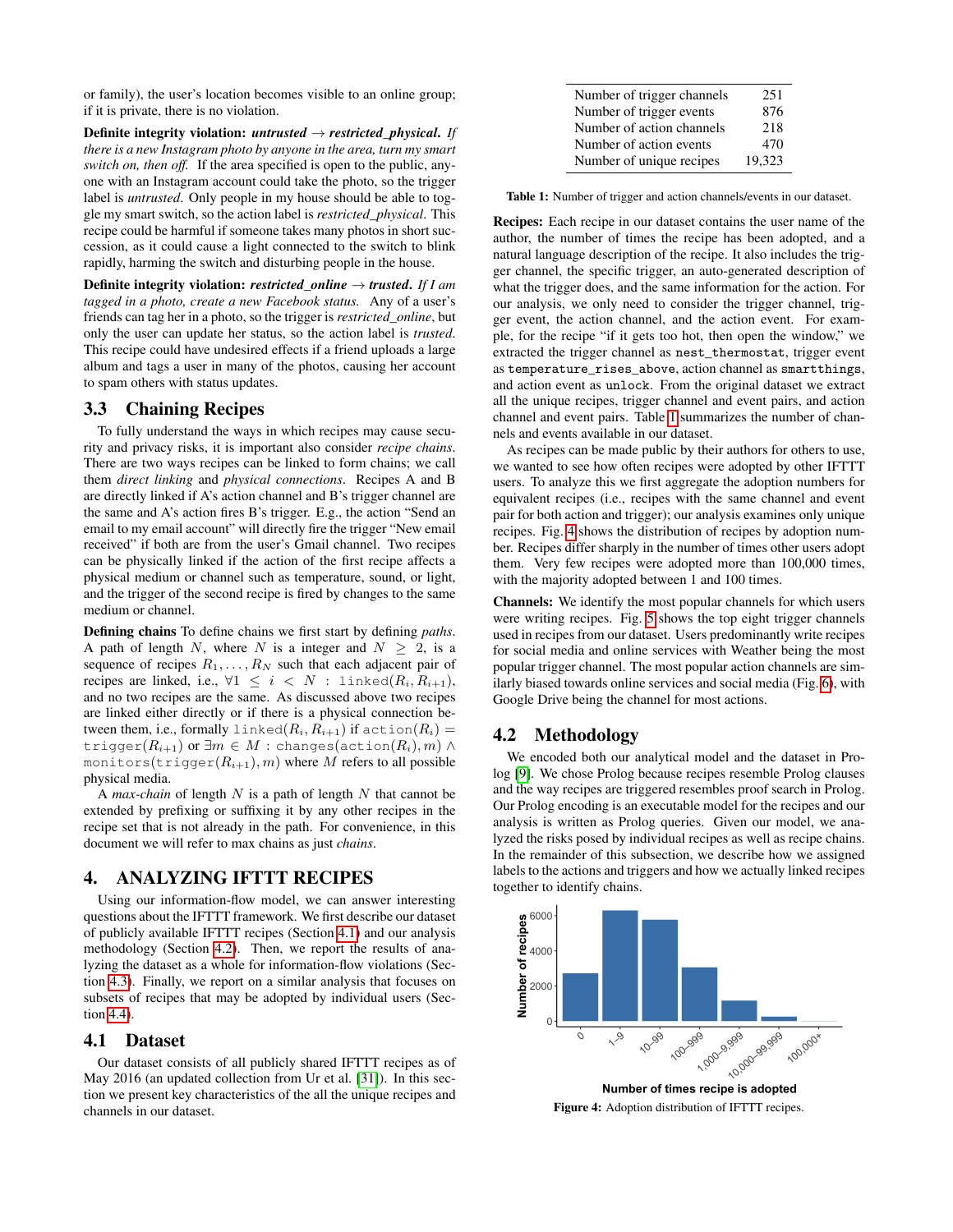or family), the user's location becomes visible to an online group; if it is private, there is no violation.

Definite integrity violation: *untrusted* → *restricted\_physical*. *If there is a new Instagram photo by anyone in the area, turn my smart switch on, then off.* If the area specified is open to the public, anyone with an Instagram account could take the photo, so the trigger label is *untrusted*. Only people in my house should be able to toggle my smart switch, so the action label is *restricted\_physical*. This recipe could be harmful if someone takes many photos in short succession, as it could cause a light connected to the switch to blink rapidly, harming the switch and disturbing people in the house.

Definite integrity violation: *restricted\_online* → *trusted*. *If I am tagged in a photo, create a new Facebook status.* Any of a user's friends can tag her in a photo, so the trigger is *restricted\_online*, but only the user can update her status, so the action label is *trusted*. This recipe could have undesired effects if a friend uploads a large album and tags a user in many of the photos, causing her account to spam others with status updates.

### <span id="page-3-2"></span>3.3 Chaining Recipes

To fully understand the ways in which recipes may cause security and privacy risks, it is important also consider *recipe chains*. There are two ways recipes can be linked to form chains; we call them *direct linking* and *physical connections*. Recipes A and B are directly linked if A's action channel and B's trigger channel are the same and A's action fires B's trigger. E.g., the action "Send an email to my email account" will directly fire the trigger "New email received" if both are from the user's Gmail channel. Two recipes can be physically linked if the action of the first recipe affects a physical medium or channel such as temperature, sound, or light, and the trigger of the second recipe is fired by changes to the same medium or channel.

Defining chains To define chains we first start by defining *paths*. A path of length N, where N is a integer and  $N \geq 2$ , is a sequence of recipes  $R_1, \ldots, R_N$  such that each adjacent pair of recipes are linked, i.e.,  $\forall 1 \leq i \leq N$ : linked $(R_i, R_{i+1})$ , and no two recipes are the same. As discussed above two recipes are linked either directly or if there is a physical connection between them, i.e., formally linked( $R_i, R_{i+1}$ ) if action( $R_i$ ) = trigger( $R_{i+1}$ ) or  $\exists m \in M :$  changes(action( $R_i$ ),  $m \in M$ monitors(trigger $(R_{i+1}), m$ ) where M refers to all possible physical media.

A *max-chain* of length N is a path of length N that cannot be extended by prefixing or suffixing it by any other recipes in the recipe set that is not already in the path. For convenience, in this document we will refer to max chains as just *chains*.

### <span id="page-3-0"></span>4. ANALYZING IFTTT RECIPES

Using our information-flow model, we can answer interesting questions about the IFTTT framework. We first describe our dataset of publicly available IFTTT recipes (Section [4.1\)](#page-3-3) and our analysis methodology (Section [4.2\)](#page-3-4). Then, we report the results of analyzing the dataset as a whole for information-flow violations (Section [4.3\)](#page-4-0). Finally, we report on a similar analysis that focuses on subsets of recipes that may be adopted by individual users (Section [4.4\)](#page-5-0).

#### <span id="page-3-3"></span>4.1 Dataset

Our dataset consists of all publicly shared IFTTT recipes as of May 2016 (an updated collection from Ur et al. [\[31\]](#page-9-3)). In this section we present key characteristics of the all the unique recipes and channels in our dataset.

<span id="page-3-5"></span>

| Number of trigger channels | 251    |
|----------------------------|--------|
| Number of trigger events   | 876    |
| Number of action channels  | 218    |
| Number of action events    | 470    |
| Number of unique recipes   | 19.323 |

Table 1: Number of trigger and action channels/events in our dataset.

Recipes: Each recipe in our dataset contains the user name of the author, the number of times the recipe has been adopted, and a natural language description of the recipe. It also includes the trigger channel, the specific trigger, an auto-generated description of what the trigger does, and the same information for the action. For our analysis, we only need to consider the trigger channel, trigger event, the action channel, and the action event. For example, for the recipe "if it gets too hot, then open the window," we extracted the trigger channel as nest\_thermostat, trigger event as temperature\_rises\_above, action channel as smartthings, and action event as unlock. From the original dataset we extract all the unique recipes, trigger channel and event pairs, and action channel and event pairs. Table [1](#page-3-5) summarizes the number of channels and events available in our dataset.

As recipes can be made public by their authors for others to use, we wanted to see how often recipes were adopted by other IFTTT users. To analyze this we first aggregate the adoption numbers for equivalent recipes (i.e., recipes with the same channel and event pair for both action and trigger); our analysis examines only unique recipes. Fig. [4](#page-3-1) shows the distribution of recipes by adoption number. Recipes differ sharply in the number of times other users adopt them. Very few recipes were adopted more than 100,000 times, with the majority adopted between 1 and 100 times.

Channels: We identify the most popular channels for which users were writing recipes. Fig. [5](#page-4-1) shows the top eight trigger channels used in recipes from our dataset. Users predominantly write recipes for social media and online services with Weather being the most popular trigger channel. The most popular action channels are similarly biased towards online services and social media (Fig. [6\)](#page-4-2), with Google Drive being the channel for most actions.

### <span id="page-3-4"></span>4.2 Methodology

We encoded both our analytical model and the dataset in Prolog [\[9\]](#page-9-11). We chose Prolog because recipes resemble Prolog clauses and the way recipes are triggered resembles proof search in Prolog. Our Prolog encoding is an executable model for the recipes and our analysis is written as Prolog queries. Given our model, we analyzed the risks posed by individual recipes as well as recipe chains. In the remainder of this subsection, we describe how we assigned labels to the actions and triggers and how we actually linked recipes together to identify chains.

<span id="page-3-1"></span>

Figure 4: Adoption distribution of IFTTT recipes.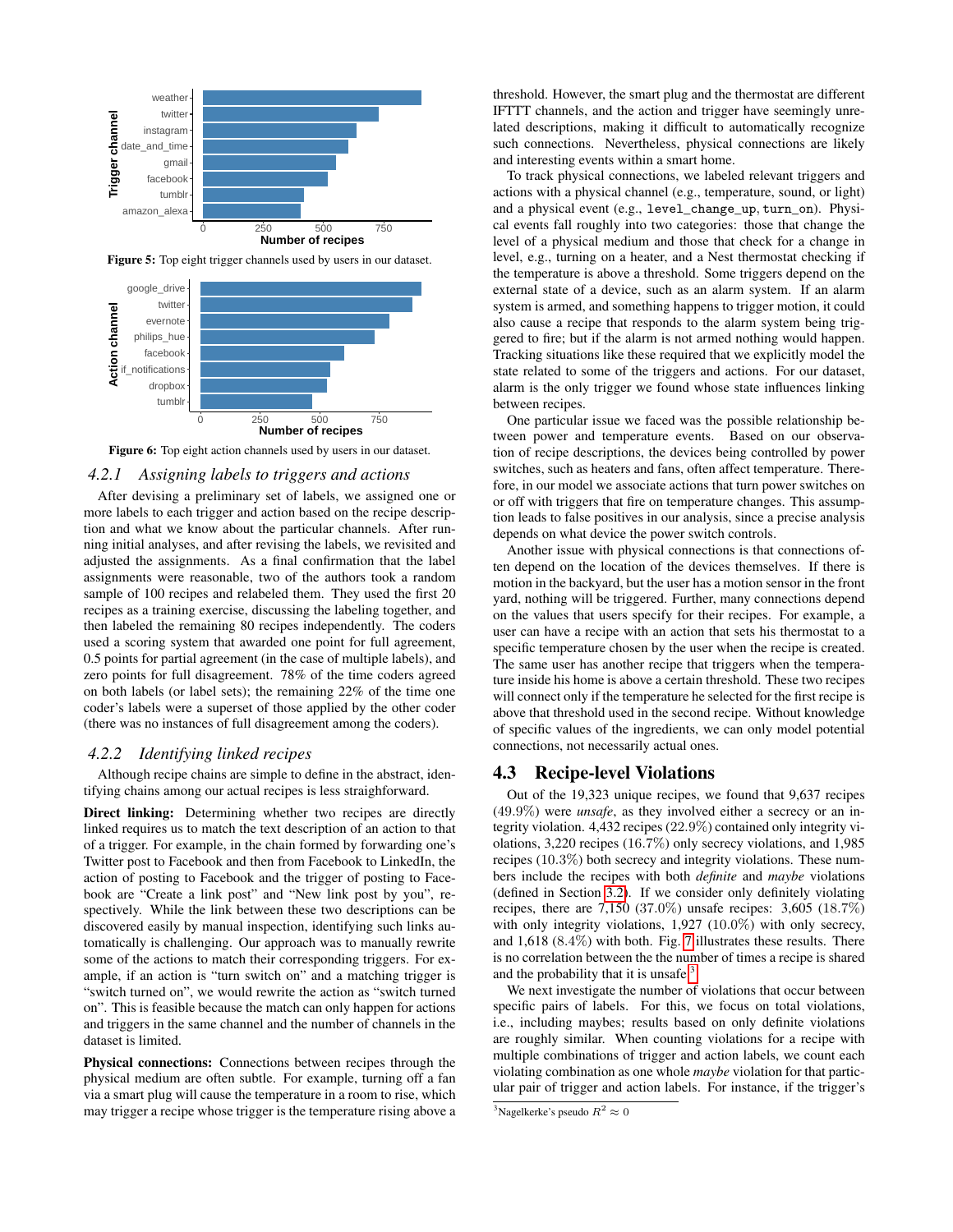<span id="page-4-1"></span>

Figure 5: Top eight trigger channels used by users in our dataset.

<span id="page-4-2"></span>

Figure 6: Top eight action channels used by users in our dataset.

#### *4.2.1 Assigning labels to triggers and actions*

After devising a preliminary set of labels, we assigned one or more labels to each trigger and action based on the recipe description and what we know about the particular channels. After running initial analyses, and after revising the labels, we revisited and adjusted the assignments. As a final confirmation that the label assignments were reasonable, two of the authors took a random sample of 100 recipes and relabeled them. They used the first 20 recipes as a training exercise, discussing the labeling together, and then labeled the remaining 80 recipes independently. The coders used a scoring system that awarded one point for full agreement, 0.5 points for partial agreement (in the case of multiple labels), and zero points for full disagreement. 78% of the time coders agreed on both labels (or label sets); the remaining 22% of the time one coder's labels were a superset of those applied by the other coder (there was no instances of full disagreement among the coders).

#### *4.2.2 Identifying linked recipes*

Although recipe chains are simple to define in the abstract, identifying chains among our actual recipes is less straighforward.

Direct linking: Determining whether two recipes are directly linked requires us to match the text description of an action to that of a trigger. For example, in the chain formed by forwarding one's Twitter post to Facebook and then from Facebook to LinkedIn, the action of posting to Facebook and the trigger of posting to Facebook are "Create a link post" and "New link post by you", respectively. While the link between these two descriptions can be discovered easily by manual inspection, identifying such links automatically is challenging. Our approach was to manually rewrite some of the actions to match their corresponding triggers. For example, if an action is "turn switch on" and a matching trigger is "switch turned on", we would rewrite the action as "switch turned on". This is feasible because the match can only happen for actions and triggers in the same channel and the number of channels in the dataset is limited.

Physical connections: Connections between recipes through the physical medium are often subtle. For example, turning off a fan via a smart plug will cause the temperature in a room to rise, which may trigger a recipe whose trigger is the temperature rising above a threshold. However, the smart plug and the thermostat are different IFTTT channels, and the action and trigger have seemingly unrelated descriptions, making it difficult to automatically recognize such connections. Nevertheless, physical connections are likely and interesting events within a smart home.

To track physical connections, we labeled relevant triggers and actions with a physical channel (e.g., temperature, sound, or light) and a physical event (e.g., level\_change\_up, turn\_on). Physical events fall roughly into two categories: those that change the level of a physical medium and those that check for a change in level, e.g., turning on a heater, and a Nest thermostat checking if the temperature is above a threshold. Some triggers depend on the external state of a device, such as an alarm system. If an alarm system is armed, and something happens to trigger motion, it could also cause a recipe that responds to the alarm system being triggered to fire; but if the alarm is not armed nothing would happen. Tracking situations like these required that we explicitly model the state related to some of the triggers and actions. For our dataset, alarm is the only trigger we found whose state influences linking between recipes.

One particular issue we faced was the possible relationship between power and temperature events. Based on our observation of recipe descriptions, the devices being controlled by power switches, such as heaters and fans, often affect temperature. Therefore, in our model we associate actions that turn power switches on or off with triggers that fire on temperature changes. This assumption leads to false positives in our analysis, since a precise analysis depends on what device the power switch controls.

Another issue with physical connections is that connections often depend on the location of the devices themselves. If there is motion in the backyard, but the user has a motion sensor in the front yard, nothing will be triggered. Further, many connections depend on the values that users specify for their recipes. For example, a user can have a recipe with an action that sets his thermostat to a specific temperature chosen by the user when the recipe is created. The same user has another recipe that triggers when the temperature inside his home is above a certain threshold. These two recipes will connect only if the temperature he selected for the first recipe is above that threshold used in the second recipe. Without knowledge of specific values of the ingredients, we can only model potential connections, not necessarily actual ones.

#### <span id="page-4-0"></span>4.3 Recipe-level Violations

Out of the 19,323 unique recipes, we found that 9,637 recipes (49.9%) were *unsafe*, as they involved either a secrecy or an integrity violation. 4,432 recipes (22.9%) contained only integrity violations, 3,220 recipes (16.7%) only secrecy violations, and 1,985 recipes (10.3%) both secrecy and integrity violations. These numbers include the recipes with both *definite* and *maybe* violations (defined in Section [3.2\)](#page-2-0). If we consider only definitely violating recipes, there are 7,150 (37.0%) unsafe recipes: 3,605 (18.7%) with only integrity violations, 1,927 (10.0%) with only secrecy, and 1,618 (8.4%) with both. Fig. [7](#page-5-1) illustrates these results. There is no correlation between the the number of times a recipe is shared and the probability that it is unsafe.<sup>[3](#page-4-3)</sup>

We next investigate the number of violations that occur between specific pairs of labels. For this, we focus on total violations, i.e., including maybes; results based on only definite violations are roughly similar. When counting violations for a recipe with multiple combinations of trigger and action labels, we count each violating combination as one whole *maybe* violation for that particular pair of trigger and action labels. For instance, if the trigger's

<span id="page-4-3"></span><sup>&</sup>lt;sup>3</sup>Nagelkerke's pseudo  $R^2 \approx 0$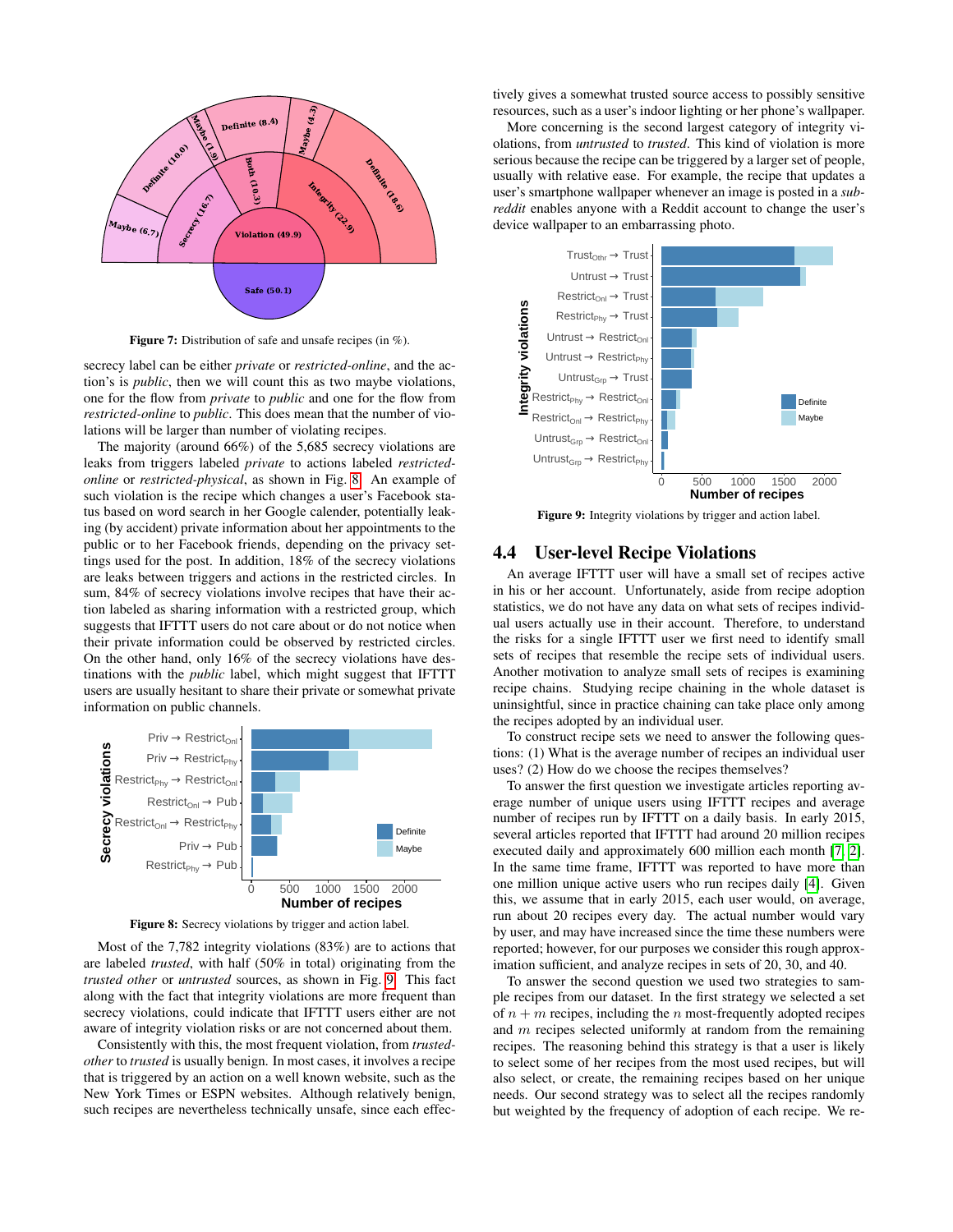<span id="page-5-1"></span>

Figure 7: Distribution of safe and unsafe recipes (in %).

secrecy label can be either *private* or *restricted-online*, and the action's is *public*, then we will count this as two maybe violations, one for the flow from *private* to *public* and one for the flow from *restricted-online* to *public*. This does mean that the number of violations will be larger than number of violating recipes.

The majority (around 66%) of the 5,685 secrecy violations are leaks from triggers labeled *private* to actions labeled *restrictedonline* or *restricted-physical*, as shown in Fig. [8.](#page-5-2) An example of such violation is the recipe which changes a user's Facebook status based on word search in her Google calender, potentially leaking (by accident) private information about her appointments to the public or to her Facebook friends, depending on the privacy settings used for the post. In addition, 18% of the secrecy violations are leaks between triggers and actions in the restricted circles. In sum, 84% of secrecy violations involve recipes that have their action labeled as sharing information with a restricted group, which suggests that IFTTT users do not care about or do not notice when their private information could be observed by restricted circles. On the other hand, only 16% of the secrecy violations have destinations with the *public* label, which might suggest that IFTTT users are usually hesitant to share their private or somewhat private information on public channels.

<span id="page-5-2"></span>

Figure 8: Secrecy violations by trigger and action label.

Most of the 7,782 integrity violations (83%) are to actions that are labeled *trusted*, with half (50% in total) originating from the *trusted other* or *untrusted* sources, as shown in Fig. [9.](#page-5-3) This fact along with the fact that integrity violations are more frequent than secrecy violations, could indicate that IFTTT users either are not aware of integrity violation risks or are not concerned about them.

Consistently with this, the most frequent violation, from *trustedother* to *trusted* is usually benign. In most cases, it involves a recipe that is triggered by an action on a well known website, such as the New York Times or ESPN websites. Although relatively benign, such recipes are nevertheless technically unsafe, since each effectively gives a somewhat trusted source access to possibly sensitive resources, such as a user's indoor lighting or her phone's wallpaper.

More concerning is the second largest category of integrity violations, from *untrusted* to *trusted*. This kind of violation is more serious because the recipe can be triggered by a larger set of people, usually with relative ease. For example, the recipe that updates a user's smartphone wallpaper whenever an image is posted in a *subreddit* enables anyone with a Reddit account to change the user's device wallpaper to an embarrassing photo.

<span id="page-5-3"></span>

Figure 9: Integrity violations by trigger and action label.

### <span id="page-5-0"></span>4.4 User-level Recipe Violations

An average IFTTT user will have a small set of recipes active in his or her account. Unfortunately, aside from recipe adoption statistics, we do not have any data on what sets of recipes individual users actually use in their account. Therefore, to understand the risks for a single IFTTT user we first need to identify small sets of recipes that resemble the recipe sets of individual users. Another motivation to analyze small sets of recipes is examining recipe chains. Studying recipe chaining in the whole dataset is uninsightful, since in practice chaining can take place only among the recipes adopted by an individual user.

To construct recipe sets we need to answer the following questions: (1) What is the average number of recipes an individual user uses? (2) How do we choose the recipes themselves?

To answer the first question we investigate articles reporting average number of unique users using IFTTT recipes and average number of recipes run by IFTTT on a daily basis. In early 2015, several articles reported that IFTTT had around 20 million recipes executed daily and approximately 600 million each month [\[7,](#page-9-12) [2\]](#page-9-13). In the same time frame, IFTTT was reported to have more than one million unique active users who run recipes daily [\[4\]](#page-9-5). Given this, we assume that in early 2015, each user would, on average, run about 20 recipes every day. The actual number would vary by user, and may have increased since the time these numbers were reported; however, for our purposes we consider this rough approximation sufficient, and analyze recipes in sets of 20, 30, and 40.

To answer the second question we used two strategies to sample recipes from our dataset. In the first strategy we selected a set of  $n + m$  recipes, including the n most-frequently adopted recipes and m recipes selected uniformly at random from the remaining recipes. The reasoning behind this strategy is that a user is likely to select some of her recipes from the most used recipes, but will also select, or create, the remaining recipes based on her unique needs. Our second strategy was to select all the recipes randomly but weighted by the frequency of adoption of each recipe. We re-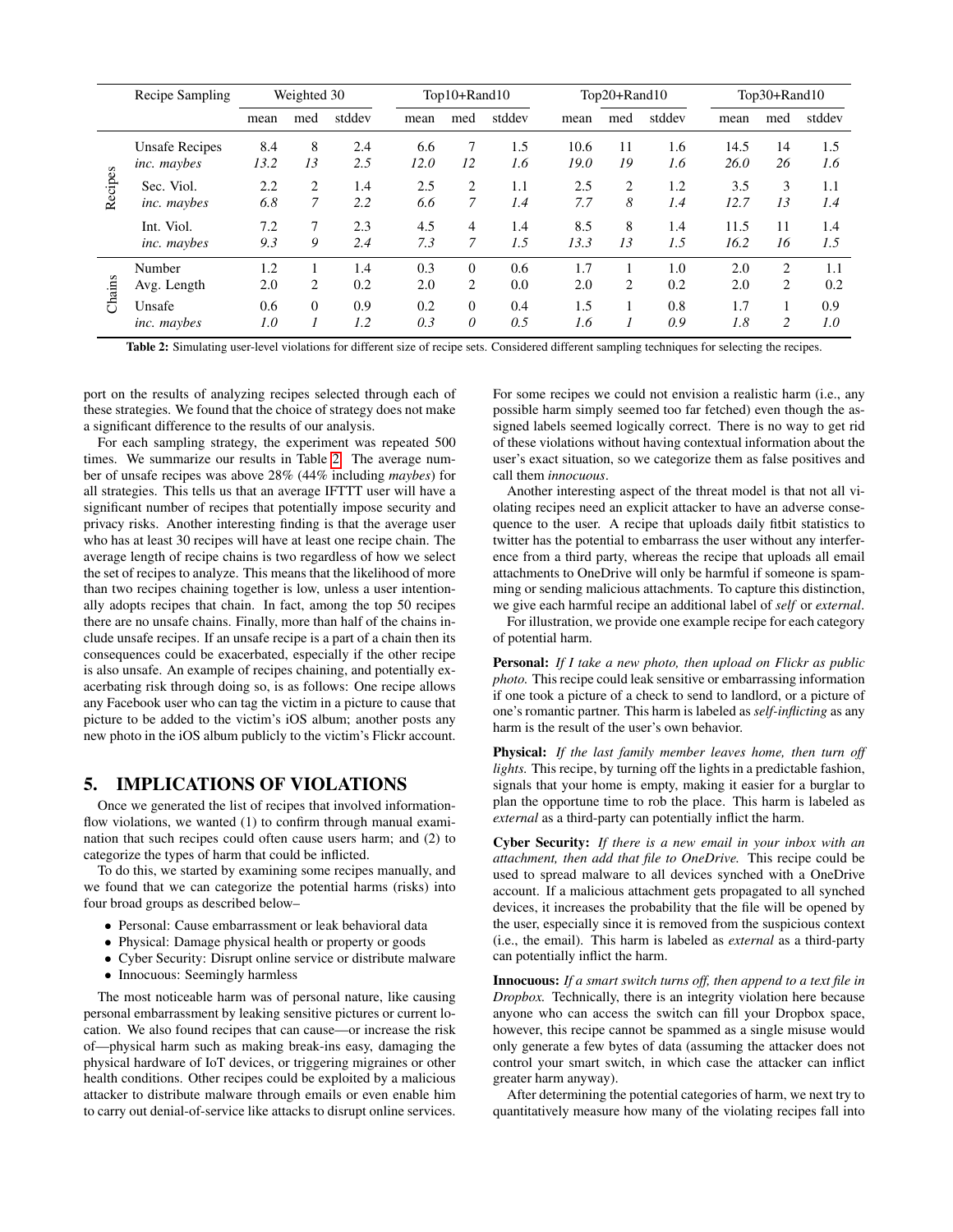<span id="page-6-1"></span>

|         | Recipe Sampling                      | Weighted 30 |          |            | Top10+Rand10 |                     |            | Top20+Rand10 |          |            | $Top30+Rand10$ |          |            |
|---------|--------------------------------------|-------------|----------|------------|--------------|---------------------|------------|--------------|----------|------------|----------------|----------|------------|
|         |                                      | mean        | med      | stddev     | mean         | med                 | stddev     | mean         | med      | stddev     | mean           | med      | stddev     |
| Recipes | <b>Unsafe Recipes</b><br>inc. maybes | 8.4<br>13.2 | 8<br>13  | 2.4<br>2.5 | 6.6<br>12.0  | 7<br>12             | 1.5<br>1.6 | 10.6<br>19.0 | 11<br>19 | 1.6<br>1.6 | 14.5<br>26.0   | 14<br>26 | 1.5<br>1.6 |
|         | Sec. Viol.<br>inc. maybes            | 2.2<br>6.8  | 2<br>7   | 1.4<br>2.2 | 2.5<br>6.6   | 2<br>7              | 1.1<br>1.4 | 2.5<br>7.7   | 2<br>8   | 1.2<br>1.4 | 3.5<br>12.7    | 3<br>13  | 1.1<br>1.4 |
|         | Int. Viol.<br>inc. maybes            | 7.2<br>9.3  | 7<br>9   | 2.3<br>2.4 | 4.5<br>7.3   | $\overline{4}$<br>7 | 1.4<br>1.5 | 8.5<br>13.3  | 8<br>13  | 1.4<br>1.5 | 11.5<br>16.2   | 11<br>16 | 1.4<br>1.5 |
| Chains  | Number<br>Avg. Length                | 1.2<br>2.0  | 2        | 1.4<br>0.2 | 0.3<br>2.0   | $\Omega$<br>2       | 0.6<br>0.0 | 1.7<br>2.0   | 2        | 1.0<br>0.2 | 2.0<br>2.0     | 2<br>2   | 1.1<br>0.2 |
|         | Unsafe<br>inc. maybes                | 0.6<br>1.0  | $\Omega$ | 0.9<br>1.2 | 0.2<br>0.3   | $\Omega$<br>0       | 0.4<br>0.5 | 1.5<br>1.6   |          | 0.8<br>0.9 | 1.7<br>1.8     | 2        | 0.9<br>1.0 |

Table 2: Simulating user-level violations for different size of recipe sets. Considered different sampling techniques for selecting the recipes.

port on the results of analyzing recipes selected through each of these strategies. We found that the choice of strategy does not make a significant difference to the results of our analysis.

For each sampling strategy, the experiment was repeated 500 times. We summarize our results in Table [2.](#page-6-1) The average number of unsafe recipes was above 28% (44% including *maybes*) for all strategies. This tells us that an average IFTTT user will have a significant number of recipes that potentially impose security and privacy risks. Another interesting finding is that the average user who has at least 30 recipes will have at least one recipe chain. The average length of recipe chains is two regardless of how we select the set of recipes to analyze. This means that the likelihood of more than two recipes chaining together is low, unless a user intentionally adopts recipes that chain. In fact, among the top 50 recipes there are no unsafe chains. Finally, more than half of the chains include unsafe recipes. If an unsafe recipe is a part of a chain then its consequences could be exacerbated, especially if the other recipe is also unsafe. An example of recipes chaining, and potentially exacerbating risk through doing so, is as follows: One recipe allows any Facebook user who can tag the victim in a picture to cause that picture to be added to the victim's iOS album; another posts any new photo in the iOS album publicly to the victim's Flickr account.

# <span id="page-6-0"></span>5. IMPLICATIONS OF VIOLATIONS

Once we generated the list of recipes that involved informationflow violations, we wanted (1) to confirm through manual examination that such recipes could often cause users harm; and (2) to categorize the types of harm that could be inflicted.

To do this, we started by examining some recipes manually, and we found that we can categorize the potential harms (risks) into four broad groups as described below–

- Personal: Cause embarrassment or leak behavioral data
- Physical: Damage physical health or property or goods
- Cyber Security: Disrupt online service or distribute malware
- Innocuous: Seemingly harmless

The most noticeable harm was of personal nature, like causing personal embarrassment by leaking sensitive pictures or current location. We also found recipes that can cause—or increase the risk of—physical harm such as making break-ins easy, damaging the physical hardware of IoT devices, or triggering migraines or other health conditions. Other recipes could be exploited by a malicious attacker to distribute malware through emails or even enable him to carry out denial-of-service like attacks to disrupt online services.

For some recipes we could not envision a realistic harm (i.e., any possible harm simply seemed too far fetched) even though the assigned labels seemed logically correct. There is no way to get rid of these violations without having contextual information about the user's exact situation, so we categorize them as false positives and call them *innocuous*.

Another interesting aspect of the threat model is that not all violating recipes need an explicit attacker to have an adverse consequence to the user. A recipe that uploads daily fitbit statistics to twitter has the potential to embarrass the user without any interference from a third party, whereas the recipe that uploads all email attachments to OneDrive will only be harmful if someone is spamming or sending malicious attachments. To capture this distinction, we give each harmful recipe an additional label of *self* or *external*.

For illustration, we provide one example recipe for each category of potential harm.

Personal: *If I take a new photo, then upload on Flickr as public photo.* This recipe could leak sensitive or embarrassing information if one took a picture of a check to send to landlord, or a picture of one's romantic partner. This harm is labeled as *self-inflicting* as any harm is the result of the user's own behavior.

Physical: *If the last family member leaves home, then turn off lights.* This recipe, by turning off the lights in a predictable fashion, signals that your home is empty, making it easier for a burglar to plan the opportune time to rob the place. This harm is labeled as *external* as a third-party can potentially inflict the harm.

Cyber Security: *If there is a new email in your inbox with an attachment, then add that file to OneDrive.* This recipe could be used to spread malware to all devices synched with a OneDrive account. If a malicious attachment gets propagated to all synched devices, it increases the probability that the file will be opened by the user, especially since it is removed from the suspicious context (i.e., the email). This harm is labeled as *external* as a third-party can potentially inflict the harm.

Innocuous: *If a smart switch turns off, then append to a text file in Dropbox.* Technically, there is an integrity violation here because anyone who can access the switch can fill your Dropbox space, however, this recipe cannot be spammed as a single misuse would only generate a few bytes of data (assuming the attacker does not control your smart switch, in which case the attacker can inflict greater harm anyway).

After determining the potential categories of harm, we next try to quantitatively measure how many of the violating recipes fall into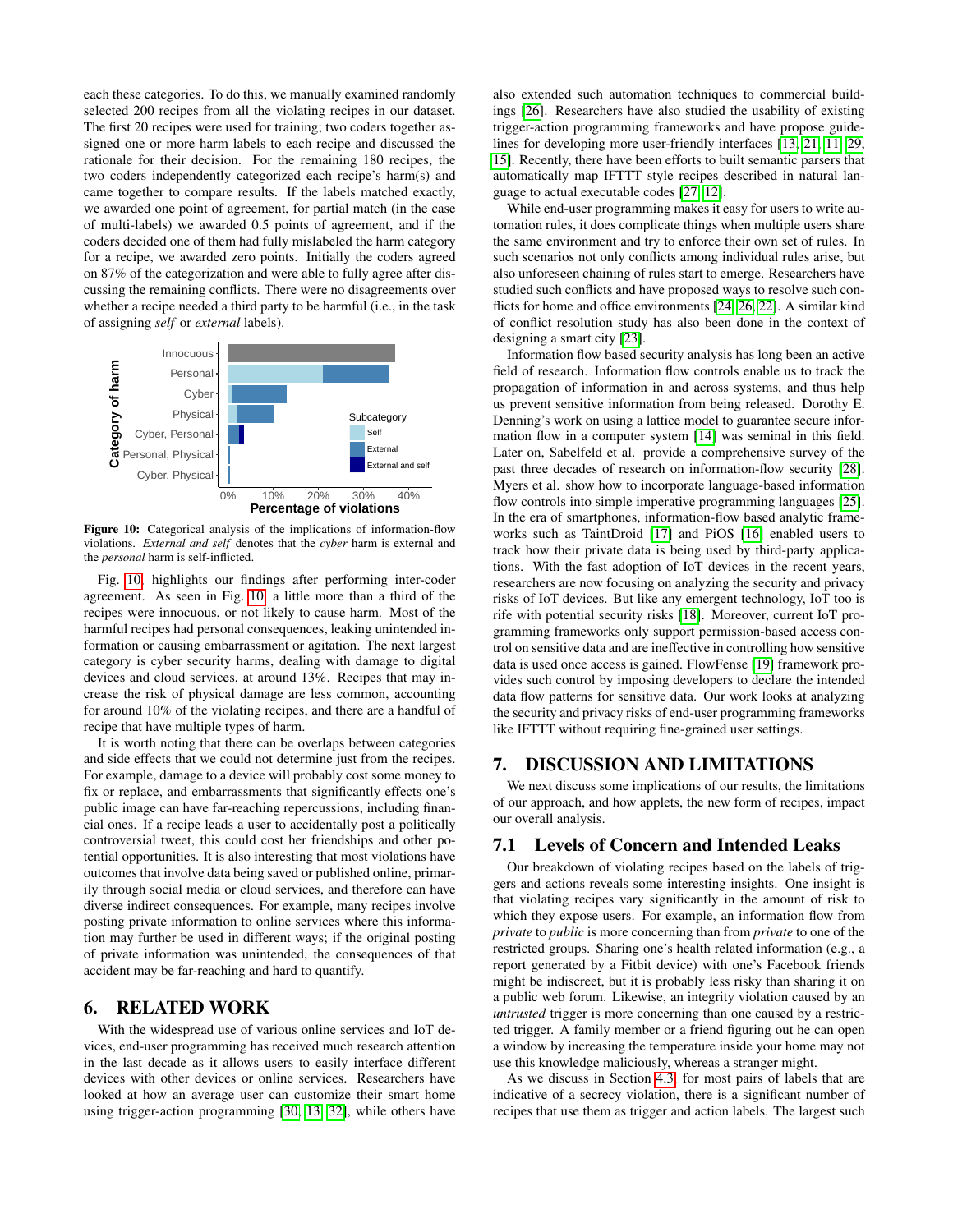each these categories. To do this, we manually examined randomly selected 200 recipes from all the violating recipes in our dataset. The first 20 recipes were used for training; two coders together assigned one or more harm labels to each recipe and discussed the rationale for their decision. For the remaining 180 recipes, the two coders independently categorized each recipe's harm(s) and came together to compare results. If the labels matched exactly, we awarded one point of agreement, for partial match (in the case of multi-labels) we awarded 0.5 points of agreement, and if the coders decided one of them had fully mislabeled the harm category for a recipe, we awarded zero points. Initially the coders agreed on 87% of the categorization and were able to fully agree after discussing the remaining conflicts. There were no disagreements over whether a recipe needed a third party to be harmful (i.e., in the task of assigning *self* or *external* labels).

<span id="page-7-1"></span>

Figure 10: Categorical analysis of the implications of information-flow violations. *External and self* denotes that the *cyber* harm is external and the *personal* harm is self-inflicted.

Fig. [10,](#page-7-1) highlights our findings after performing inter-coder agreement. As seen in Fig. [10,](#page-7-1) a little more than a third of the recipes were innocuous, or not likely to cause harm. Most of the harmful recipes had personal consequences, leaking unintended information or causing embarrassment or agitation. The next largest category is cyber security harms, dealing with damage to digital devices and cloud services, at around 13%. Recipes that may increase the risk of physical damage are less common, accounting for around 10% of the violating recipes, and there are a handful of recipe that have multiple types of harm.

It is worth noting that there can be overlaps between categories and side effects that we could not determine just from the recipes. For example, damage to a device will probably cost some money to fix or replace, and embarrassments that significantly effects one's public image can have far-reaching repercussions, including financial ones. If a recipe leads a user to accidentally post a politically controversial tweet, this could cost her friendships and other potential opportunities. It is also interesting that most violations have outcomes that involve data being saved or published online, primarily through social media or cloud services, and therefore can have diverse indirect consequences. For example, many recipes involve posting private information to online services where this information may further be used in different ways; if the original posting of private information was unintended, the consequences of that accident may be far-reaching and hard to quantify.

### 6. RELATED WORK

With the widespread use of various online services and IoT devices, end-user programming has received much research attention in the last decade as it allows users to easily interface different devices with other devices or online services. Researchers have looked at how an average user can customize their smart home using trigger-action programming [\[30,](#page-9-14) [13,](#page-9-15) [32\]](#page-9-16), while others have

also extended such automation techniques to commercial buildings [\[26\]](#page-9-17). Researchers have also studied the usability of existing trigger-action programming frameworks and have propose guidelines for developing more user-friendly interfaces [\[13,](#page-9-15) [21,](#page-9-18) [11,](#page-9-19) [29,](#page-9-20) [15\]](#page-9-21). Recently, there have been efforts to built semantic parsers that automatically map IFTTT style recipes described in natural language to actual executable codes [\[27,](#page-9-22) [12\]](#page-9-23).

While end-user programming makes it easy for users to write automation rules, it does complicate things when multiple users share the same environment and try to enforce their own set of rules. In such scenarios not only conflicts among individual rules arise, but also unforeseen chaining of rules start to emerge. Researchers have studied such conflicts and have proposed ways to resolve such conflicts for home and office environments [\[24,](#page-9-24) [26,](#page-9-17) [22\]](#page-9-25). A similar kind of conflict resolution study has also been done in the context of designing a smart city [\[23\]](#page-9-26).

Information flow based security analysis has long been an active field of research. Information flow controls enable us to track the propagation of information in and across systems, and thus help us prevent sensitive information from being released. Dorothy E. Denning's work on using a lattice model to guarantee secure information flow in a computer system [\[14\]](#page-9-27) was seminal in this field. Later on, Sabelfeld et al. provide a comprehensive survey of the past three decades of research on information-flow security [\[28\]](#page-9-7). Myers et al. show how to incorporate language-based information flow controls into simple imperative programming languages [\[25\]](#page-9-28). In the era of smartphones, information-flow based analytic frameworks such as TaintDroid [\[17\]](#page-9-29) and PiOS [\[16\]](#page-9-30) enabled users to track how their private data is being used by third-party applications. With the fast adoption of IoT devices in the recent years, researchers are now focusing on analyzing the security and privacy risks of IoT devices. But like any emergent technology, IoT too is rife with potential security risks [\[18\]](#page-9-31). Moreover, current IoT programming frameworks only support permission-based access control on sensitive data and are ineffective in controlling how sensitive data is used once access is gained. FlowFense [\[19\]](#page-9-32) framework provides such control by imposing developers to declare the intended data flow patterns for sensitive data. Our work looks at analyzing the security and privacy risks of end-user programming frameworks like IFTTT without requiring fine-grained user settings.

### <span id="page-7-0"></span>7. DISCUSSION AND LIMITATIONS

We next discuss some implications of our results, the limitations of our approach, and how applets, the new form of recipes, impact our overall analysis.

### 7.1 Levels of Concern and Intended Leaks

Our breakdown of violating recipes based on the labels of triggers and actions reveals some interesting insights. One insight is that violating recipes vary significantly in the amount of risk to which they expose users. For example, an information flow from *private* to *public* is more concerning than from *private* to one of the restricted groups. Sharing one's health related information (e.g., a report generated by a Fitbit device) with one's Facebook friends might be indiscreet, but it is probably less risky than sharing it on a public web forum. Likewise, an integrity violation caused by an *untrusted* trigger is more concerning than one caused by a restricted trigger. A family member or a friend figuring out he can open a window by increasing the temperature inside your home may not use this knowledge maliciously, whereas a stranger might.

As we discuss in Section [4.3,](#page-4-0) for most pairs of labels that are indicative of a secrecy violation, there is a significant number of recipes that use them as trigger and action labels. The largest such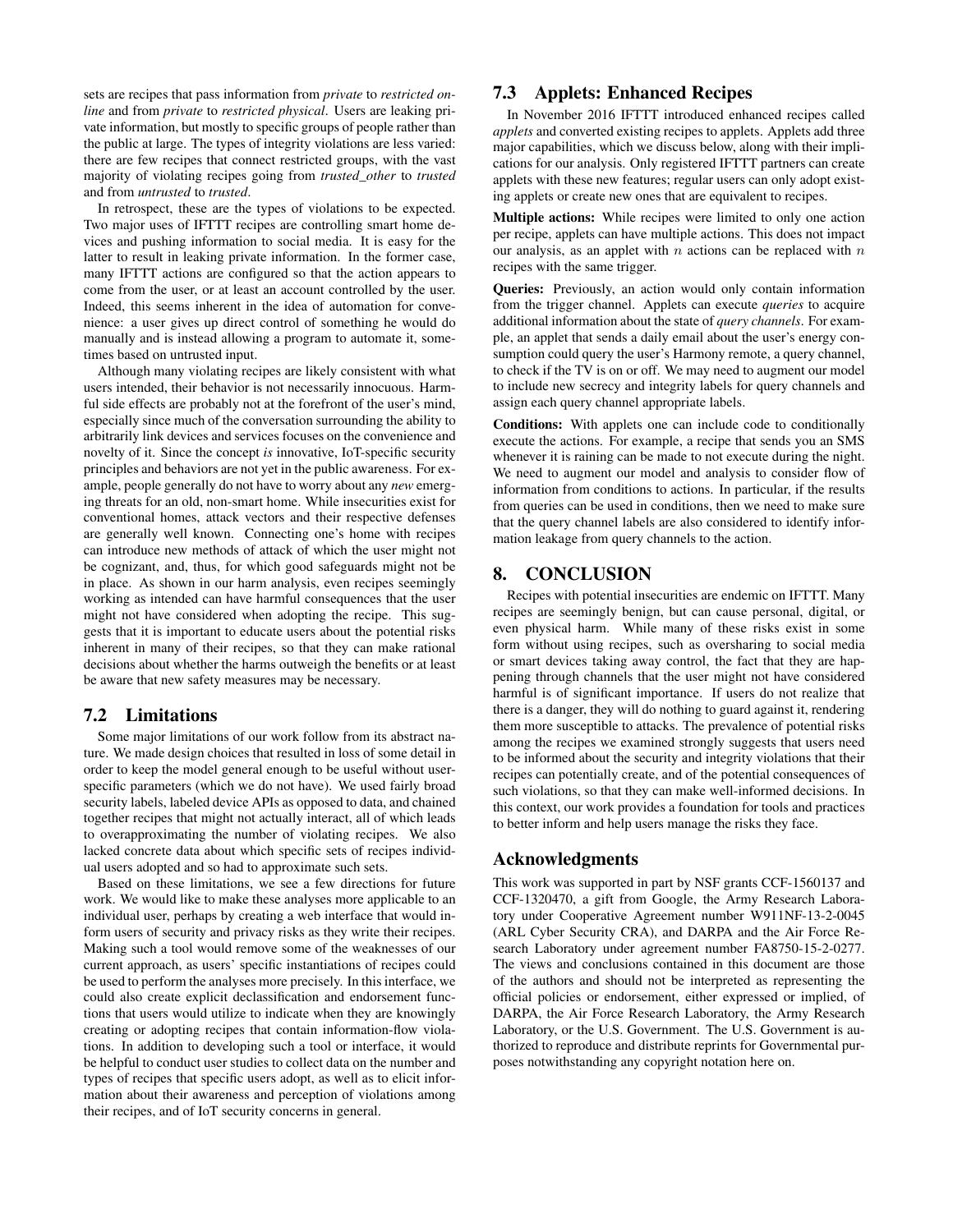sets are recipes that pass information from *private* to *restricted online* and from *private* to *restricted physical*. Users are leaking private information, but mostly to specific groups of people rather than the public at large. The types of integrity violations are less varied: there are few recipes that connect restricted groups, with the vast majority of violating recipes going from *trusted\_other* to *trusted* and from *untrusted* to *trusted*.

In retrospect, these are the types of violations to be expected. Two major uses of IFTTT recipes are controlling smart home devices and pushing information to social media. It is easy for the latter to result in leaking private information. In the former case, many IFTTT actions are configured so that the action appears to come from the user, or at least an account controlled by the user. Indeed, this seems inherent in the idea of automation for convenience: a user gives up direct control of something he would do manually and is instead allowing a program to automate it, sometimes based on untrusted input.

Although many violating recipes are likely consistent with what users intended, their behavior is not necessarily innocuous. Harmful side effects are probably not at the forefront of the user's mind, especially since much of the conversation surrounding the ability to arbitrarily link devices and services focuses on the convenience and novelty of it. Since the concept *is* innovative, IoT-specific security principles and behaviors are not yet in the public awareness. For example, people generally do not have to worry about any *new* emerging threats for an old, non-smart home. While insecurities exist for conventional homes, attack vectors and their respective defenses are generally well known. Connecting one's home with recipes can introduce new methods of attack of which the user might not be cognizant, and, thus, for which good safeguards might not be in place. As shown in our harm analysis, even recipes seemingly working as intended can have harmful consequences that the user might not have considered when adopting the recipe. This suggests that it is important to educate users about the potential risks inherent in many of their recipes, so that they can make rational decisions about whether the harms outweigh the benefits or at least be aware that new safety measures may be necessary.

### 7.2 Limitations

Some major limitations of our work follow from its abstract nature. We made design choices that resulted in loss of some detail in order to keep the model general enough to be useful without userspecific parameters (which we do not have). We used fairly broad security labels, labeled device APIs as opposed to data, and chained together recipes that might not actually interact, all of which leads to overapproximating the number of violating recipes. We also lacked concrete data about which specific sets of recipes individual users adopted and so had to approximate such sets.

Based on these limitations, we see a few directions for future work. We would like to make these analyses more applicable to an individual user, perhaps by creating a web interface that would inform users of security and privacy risks as they write their recipes. Making such a tool would remove some of the weaknesses of our current approach, as users' specific instantiations of recipes could be used to perform the analyses more precisely. In this interface, we could also create explicit declassification and endorsement functions that users would utilize to indicate when they are knowingly creating or adopting recipes that contain information-flow violations. In addition to developing such a tool or interface, it would be helpful to conduct user studies to collect data on the number and types of recipes that specific users adopt, as well as to elicit information about their awareness and perception of violations among their recipes, and of IoT security concerns in general.

## <span id="page-8-0"></span>7.3 Applets: Enhanced Recipes

In November 2016 IFTTT introduced enhanced recipes called *applets* and converted existing recipes to applets. Applets add three major capabilities, which we discuss below, along with their implications for our analysis. Only registered IFTTT partners can create applets with these new features; regular users can only adopt existing applets or create new ones that are equivalent to recipes.

Multiple actions: While recipes were limited to only one action per recipe, applets can have multiple actions. This does not impact our analysis, as an applet with  $n$  actions can be replaced with  $n$ recipes with the same trigger.

Queries: Previously, an action would only contain information from the trigger channel. Applets can execute *queries* to acquire additional information about the state of *query channels*. For example, an applet that sends a daily email about the user's energy consumption could query the user's Harmony remote, a query channel, to check if the TV is on or off. We may need to augment our model to include new secrecy and integrity labels for query channels and assign each query channel appropriate labels.

Conditions: With applets one can include code to conditionally execute the actions. For example, a recipe that sends you an SMS whenever it is raining can be made to not execute during the night. We need to augment our model and analysis to consider flow of information from conditions to actions. In particular, if the results from queries can be used in conditions, then we need to make sure that the query channel labels are also considered to identify information leakage from query channels to the action.

# <span id="page-8-1"></span>8. CONCLUSION

Recipes with potential insecurities are endemic on IFTTT. Many recipes are seemingly benign, but can cause personal, digital, or even physical harm. While many of these risks exist in some form without using recipes, such as oversharing to social media or smart devices taking away control, the fact that they are happening through channels that the user might not have considered harmful is of significant importance. If users do not realize that there is a danger, they will do nothing to guard against it, rendering them more susceptible to attacks. The prevalence of potential risks among the recipes we examined strongly suggests that users need to be informed about the security and integrity violations that their recipes can potentially create, and of the potential consequences of such violations, so that they can make well-informed decisions. In this context, our work provides a foundation for tools and practices to better inform and help users manage the risks they face.

### Acknowledgments

This work was supported in part by NSF grants CCF-1560137 and CCF-1320470, a gift from Google, the Army Research Laboratory under Cooperative Agreement number W911NF-13-2-0045 (ARL Cyber Security CRA), and DARPA and the Air Force Research Laboratory under agreement number FA8750-15-2-0277. The views and conclusions contained in this document are those of the authors and should not be interpreted as representing the official policies or endorsement, either expressed or implied, of DARPA, the Air Force Research Laboratory, the Army Research Laboratory, or the U.S. Government. The U.S. Government is authorized to reproduce and distribute reprints for Governmental purposes notwithstanding any copyright notation here on.